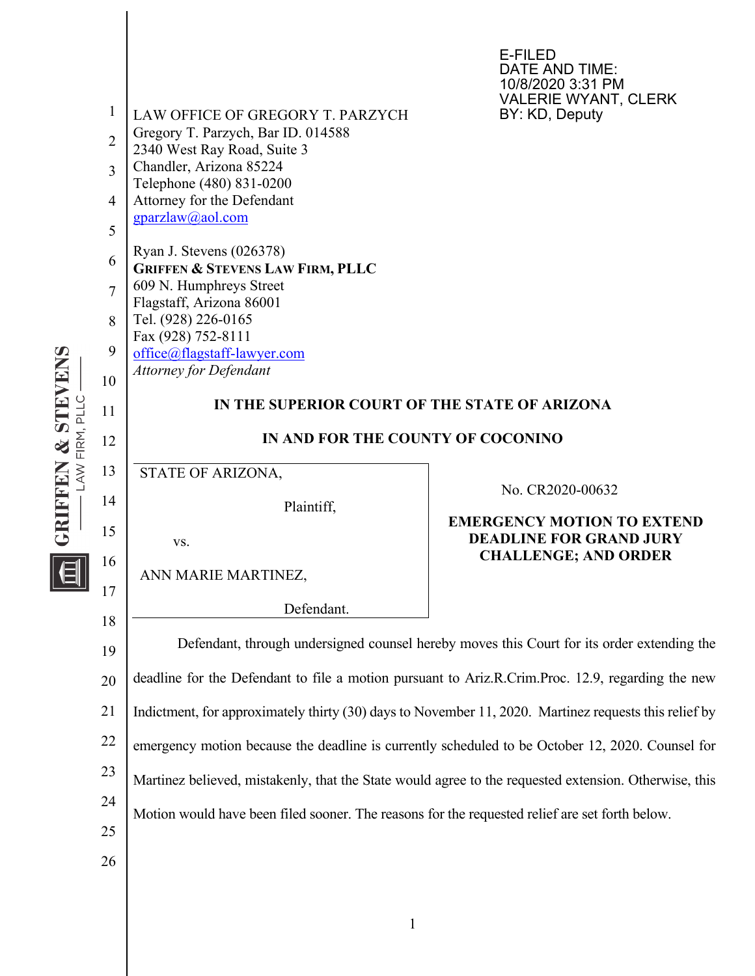

1